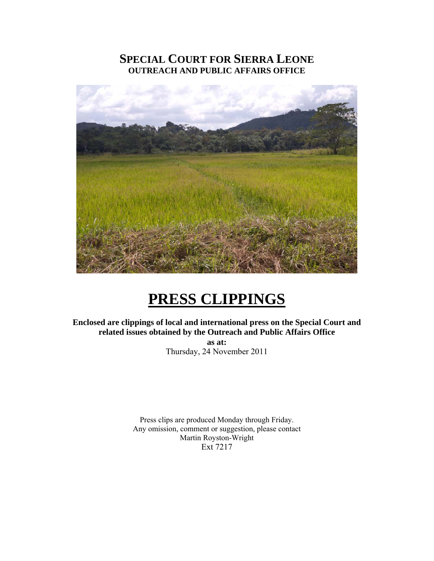# **SPECIAL COURT FOR SIERRA LEONE OUTREACH AND PUBLIC AFFAIRS OFFICE**



# **PRESS CLIPPINGS**

**Enclosed are clippings of local and international press on the Special Court and related issues obtained by the Outreach and Public Affairs Office as at:**  Thursday, 24 November 2011

> Press clips are produced Monday through Friday. Any omission, comment or suggestion, please contact Martin Royston-Wright Ext 7217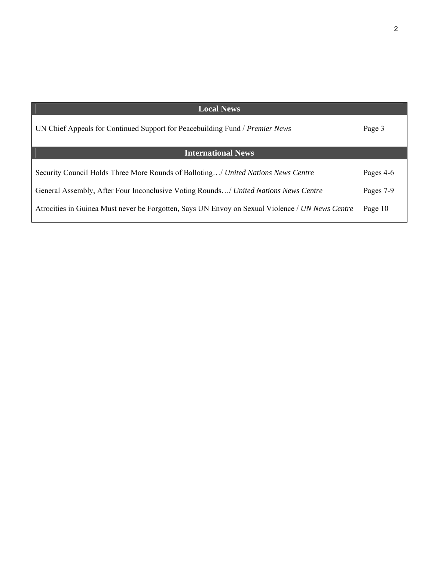| <b>Local News</b>                                                                               |           |
|-------------------------------------------------------------------------------------------------|-----------|
| UN Chief Appeals for Continued Support for Peacebuilding Fund / Premier News                    | Page 3    |
| <b>International News</b>                                                                       |           |
| Security Council Holds Three More Rounds of Balloting/ United Nations News Centre               | Pages 4-6 |
| General Assembly, After Four Inconclusive Voting Rounds/ United Nations News Centre             | Pages 7-9 |
| Atrocities in Guinea Must never be Forgotten, Says UN Envoy on Sexual Violence / UN News Centre | Page 10   |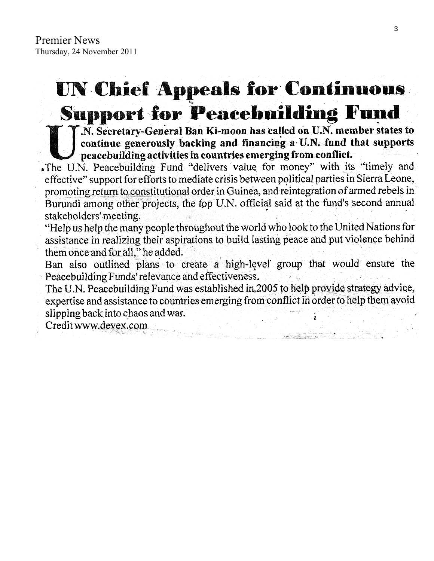# UN Chief Appeals for Continuous **Support for Peacebuilding Fund**

T.N. Secretary-General Ban Ki-moon has called on U.N. member states to continue generously backing and financing a U.N. fund that supports peacebuilding activities in countries emerging from conflict.

.The U.N. Peacebuilding Fund "delivers value for money" with its "timely and effective" support for efforts to mediate crisis between political parties in Sierra Leone, promoting return to constitutional order in Guinea, and reintegration of armed rebels in Burundi among other projects, the top U.N. official said at the fund's second annual stakeholders' meeting.

"Help us help the many people throughout the world who look to the United Nations for assistance in realizing their aspirations to build lasting peace and put violence behind them once and for all," he added.

Ban also outlined plans to create a high-level group that would ensure the Peacebuilding Funds' relevance and effectiveness.

The U.N. Peacebuilding Fund was established in 2005 to help provide strategy advice, expertise and assistance to countries emerging from conflict in order to help them avoid slipping back into chaos and war.

Credit www.devex.com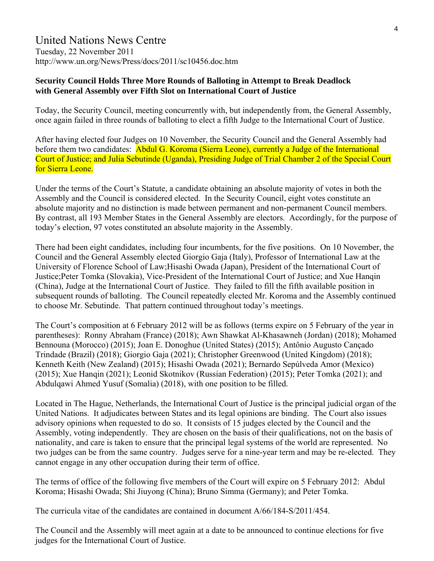# United Nations News Centre

Tuesday, 22 November 2011 http://www.un.org/News/Press/docs/2011/sc10456.doc.htm

#### **Security Council Holds Three More Rounds of Balloting in Attempt to Break Deadlock with General Assembly over Fifth Slot on International Court of Justice**

Today, the Security Council, meeting concurrently with, but independently from, the General Assembly, once again failed in three rounds of balloting to elect a fifth Judge to the International Court of Justice.

After having elected four Judges on 10 November, the Security Council and the General Assembly had before them two candidates: Abdul G. Koroma (Sierra Leone), currently a Judge of the International Court of Justice; and Julia Sebutinde (Uganda), Presiding Judge of Trial Chamber 2 of the Special Court for Sierra Leone.

Under the terms of the Court's Statute, a candidate obtaining an absolute majority of votes in both the Assembly and the Council is considered elected. In the Security Council, eight votes constitute an absolute majority and no distinction is made between permanent and non-permanent Council members. By contrast, all 193 Member States in the General Assembly are electors. Accordingly, for the purpose of today's election, 97 votes constituted an absolute majority in the Assembly.

There had been eight candidates, including four incumbents, for the five positions. On 10 November, the Council and the General Assembly elected Giorgio Gaja (Italy), Professor of International Law at the University of Florence School of Law;Hisashi Owada (Japan), President of the International Court of Justice;Peter Tomka (Slovakia), Vice-President of the International Court of Justice; and Xue Hanqin (China), Judge at the International Court of Justice. They failed to fill the fifth available position in subsequent rounds of balloting. The Council repeatedly elected Mr. Koroma and the Assembly continued to choose Mr. Sebutinde. That pattern continued throughout today's meetings.

The Court's composition at 6 February 2012 will be as follows (terms expire on 5 February of the year in parentheses): Ronny Abraham (France) (2018); Awn Shawkat Al-Khasawneh (Jordan) (2018); Mohamed Bennouna (Morocco) (2015); Joan E. Donoghue (United States) (2015); Antônio Augusto Cançado Trindade (Brazil) (2018); Giorgio Gaja (2021); Christopher Greenwood (United Kingdom) (2018); Kenneth Keith (New Zealand) (2015); Hisashi Owada (2021); Bernardo Sepúlveda Amor (Mexico) (2015); Xue Hanqin (2021); Leonid Skotnikov (Russian Federation) (2015); Peter Tomka (2021); and Abdulqawi Ahmed Yusuf (Somalia) (2018), with one position to be filled.

Located in The Hague, Netherlands, the International Court of Justice is the principal judicial organ of the United Nations. It adjudicates between States and its legal opinions are binding. The Court also issues advisory opinions when requested to do so. It consists of 15 judges elected by the Council and the Assembly, voting independently. They are chosen on the basis of their qualifications, not on the basis of nationality, and care is taken to ensure that the principal legal systems of the world are represented. No two judges can be from the same country. Judges serve for a nine-year term and may be re-elected. They cannot engage in any other occupation during their term of office.

The terms of office of the following five members of the Court will expire on 5 February 2012: Abdul Koroma; Hisashi Owada; Shi Jiuyong (China); Bruno Simma (Germany); and Peter Tomka.

The curricula vitae of the candidates are contained in document A/66/184-S/2011/454.

The Council and the Assembly will meet again at a date to be announced to continue elections for five judges for the International Court of Justice.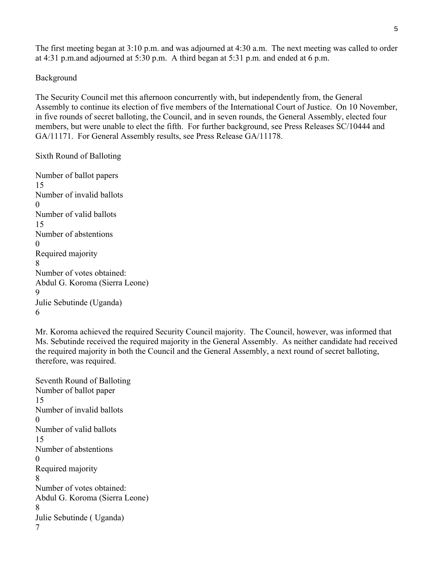The first meeting began at 3:10 p.m. and was adjourned at 4:30 a.m. The next meeting was called to order at 4:31 p.m.and adjourned at 5:30 p.m. A third began at 5:31 p.m. and ended at 6 p.m.

#### Background

The Security Council met this afternoon concurrently with, but independently from, the General Assembly to continue its election of five members of the International Court of Justice. On 10 November, in five rounds of secret balloting, the Council, and in seven rounds, the General Assembly, elected four members, but were unable to elect the fifth. For further background, see Press Releases SC/10444 and GA/11171. For General Assembly results, see Press Release GA/11178.

Sixth Round of Balloting

Number of ballot papers 15 Number of invalid ballots  $\Omega$ Number of valid ballots 15 Number of abstentions  $\Omega$ Required majority 8 Number of votes obtained: Abdul G. Koroma (Sierra Leone) 9 Julie Sebutinde (Uganda) 6

Mr. Koroma achieved the required Security Council majority. The Council, however, was informed that Ms. Sebutinde received the required majority in the General Assembly. As neither candidate had received the required majority in both the Council and the General Assembly, a next round of secret balloting, therefore, was required.

Seventh Round of Balloting Number of ballot paper 15 Number of invalid ballots  $\Omega$ Number of valid ballots 15 Number of abstentions  $\Omega$ Required majority 8 Number of votes obtained: Abdul G. Koroma (Sierra Leone) 8 Julie Sebutinde ( Uganda) 7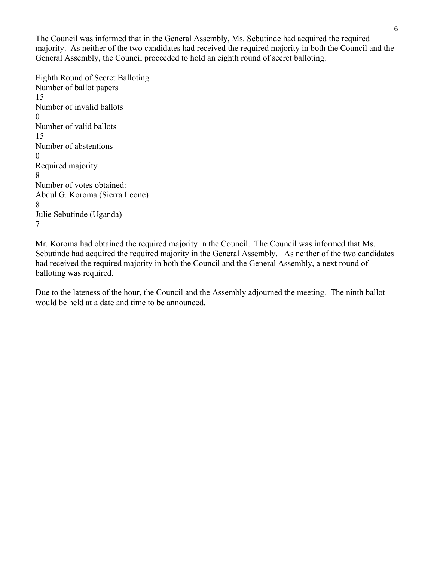The Council was informed that in the General Assembly, Ms. Sebutinde had acquired the required majority. As neither of the two candidates had received the required majority in both the Council and the General Assembly, the Council proceeded to hold an eighth round of secret balloting.

Eighth Round of Secret Balloting Number of ballot papers 15 Number of invalid ballots 0 Number of valid ballots 15 Number of abstentions 0 Required majority 8 Number of votes obtained: Abdul G. Koroma (Sierra Leone) 8 Julie Sebutinde (Uganda) 7

Mr. Koroma had obtained the required majority in the Council. The Council was informed that Ms. Sebutinde had acquired the required majority in the General Assembly. As neither of the two candidates had received the required majority in both the Council and the General Assembly, a next round of balloting was required.

Due to the lateness of the hour, the Council and the Assembly adjourned the meeting. The ninth ballot would be held at a date and time to be announced.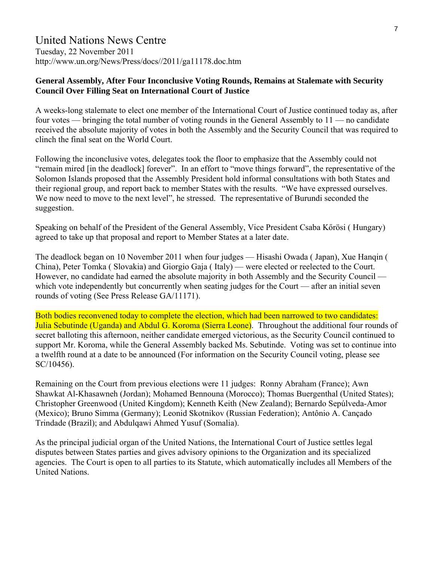## United Nations News Centre

Tuesday, 22 November 2011 http://www.un.org/News/Press/docs//2011/ga11178.doc.htm

#### **General Assembly, After Four Inconclusive Voting Rounds, Remains at Stalemate with Security Council Over Filling Seat on International Court of Justice**

A weeks-long stalemate to elect one member of the International Court of Justice continued today as, after four votes — bringing the total number of voting rounds in the General Assembly to 11 — no candidate received the absolute majority of votes in both the Assembly and the Security Council that was required to clinch the final seat on the World Court.

Following the inconclusive votes, delegates took the floor to emphasize that the Assembly could not "remain mired [in the deadlock] forever". In an effort to "move things forward", the representative of the Solomon Islands proposed that the Assembly President hold informal consultations with both States and their regional group, and report back to member States with the results. "We have expressed ourselves. We now need to move to the next level", he stressed. The representative of Burundi seconded the suggestion.

Speaking on behalf of the President of the General Assembly, Vice President Csaba Kőrösi ( Hungary) agreed to take up that proposal and report to Member States at a later date.

The deadlock began on 10 November 2011 when four judges — Hisashi Owada ( Japan), Xue Hanqin ( China), Peter Tomka ( Slovakia) and Giorgio Gaja ( Italy) — were elected or reelected to the Court. However, no candidate had earned the absolute majority in both Assembly and the Security Council which vote independently but concurrently when seating judges for the Court — after an initial seven rounds of voting (See Press Release GA/11171).

Both bodies reconvened today to complete the election, which had been narrowed to two candidates: Julia Sebutinde (Uganda) and Abdul G. Koroma (Sierra Leone). Throughout the additional four rounds of secret balloting this afternoon, neither candidate emerged victorious, as the Security Council continued to support Mr. Koroma, while the General Assembly backed Ms. Sebutinde. Voting was set to continue into a twelfth round at a date to be announced (For information on the Security Council voting, please see SC/10456).

Remaining on the Court from previous elections were 11 judges: Ronny Abraham (France); Awn Shawkat Al-Khasawneh (Jordan); Mohamed Bennouna (Morocco); Thomas Buergenthal (United States); Christopher Greenwood (United Kingdom); Kenneth Keith (New Zealand); Bernardo Sepúlveda-Amor (Mexico); Bruno Simma (Germany); Leonid Skotnikov (Russian Federation); Antônio A. Cançado Trindade (Brazil); and Abdulqawi Ahmed Yusuf (Somalia).

As the principal judicial organ of the United Nations, the International Court of Justice settles legal disputes between States parties and gives advisory opinions to the Organization and its specialized agencies. The Court is open to all parties to its Statute, which automatically includes all Members of the United Nations.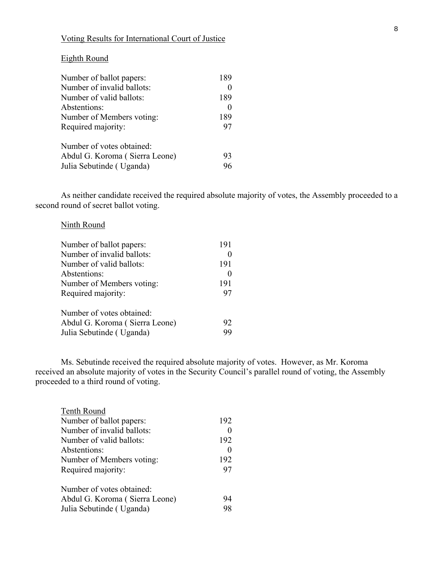#### Voting Results for International Court of Justice

#### Eighth Round

| Number of ballot papers:       | 189 |
|--------------------------------|-----|
| Number of invalid ballots:     |     |
| Number of valid ballots:       | 189 |
| Abstentions:                   |     |
| Number of Members voting:      | 189 |
| Required majority:             | 97  |
| Number of votes obtained:      |     |
| Abdul G. Koroma (Sierra Leone) | 93  |
| Julia Sebutinde (Uganda)       |     |

As neither candidate received the required absolute majority of votes, the Assembly proceeded to a second round of secret ballot voting.

#### Ninth Round

| Number of ballot papers:       | 191 |
|--------------------------------|-----|
| Number of invalid ballots:     |     |
| Number of valid ballots:       | 191 |
| Abstentions:                   |     |
| Number of Members voting:      | 191 |
| Required majority:             | 97  |
| Number of votes obtained:      |     |
| Abdul G. Koroma (Sierra Leone) | 92  |
| Julia Sebutinde (Uganda)       | 99  |

Ms. Sebutinde received the required absolute majority of votes. However, as Mr. Koroma received an absolute majority of votes in the Security Council's parallel round of voting, the Assembly proceeded to a third round of voting.

| Tenth Round                    |     |
|--------------------------------|-----|
| Number of ballot papers:       | 192 |
| Number of invalid ballots:     |     |
| Number of valid ballots:       | 192 |
| Abstentions:                   |     |
| Number of Members voting:      | 192 |
| Required majority:             | 97  |
| Number of votes obtained:      |     |
| Abdul G. Koroma (Sierra Leone) | 94  |
| Julia Sebutinde (Uganda)       | 98  |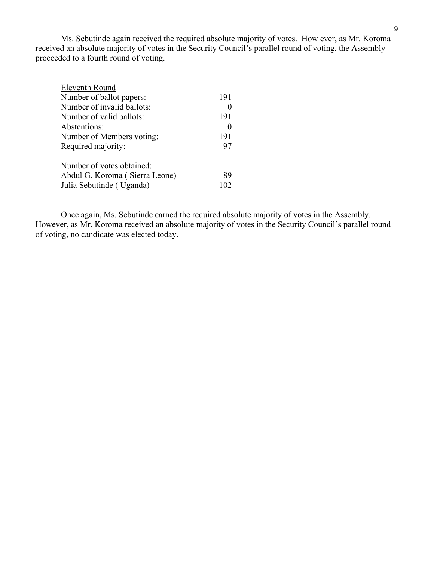Ms. Sebutinde again received the required absolute majority of votes. How ever, as Mr. Koroma received an absolute majority of votes in the Security Council's parallel round of voting, the Assembly proceeded to a fourth round of voting.

| Eleventh Round                 |     |
|--------------------------------|-----|
| Number of ballot papers:       | 191 |
| Number of invalid ballots:     |     |
| Number of valid ballots:       | 191 |
| Abstentions:                   |     |
| Number of Members voting:      | 191 |
| Required majority:             | 97  |
| Number of votes obtained:      |     |
| Abdul G. Koroma (Sierra Leone) | 89  |
| Julia Sebutinde (Uganda)       |     |
|                                |     |

Once again, Ms. Sebutinde earned the required absolute majority of votes in the Assembly. However, as Mr. Koroma received an absolute majority of votes in the Security Council's parallel round of voting, no candidate was elected today.